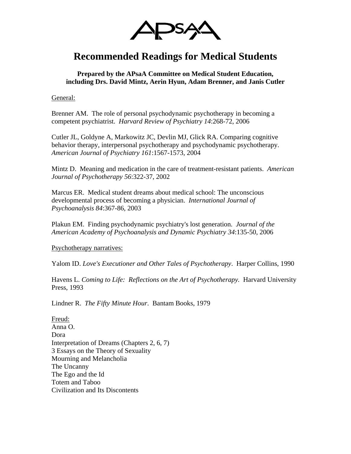

## **Recommended Readings for Medical Students**

**Prepared by the APsaA Committee on Medical Student Education, including Drs. David Mintz, Aerin Hyun, Adam Brenner, and Janis Cutler** 

General:

Brenner AM. The role of personal psychodynamic psychotherapy in becoming a competent psychiatrist. *Harvard Review of Psychiatry 14*:268-72, 2006

Cutler JL, Goldyne A, Markowitz JC, Devlin MJ, Glick RA. Comparing cognitive behavior therapy, interpersonal psychotherapy and psychodynamic psychotherapy. *American Journal of Psychiatry 161*:1567-1573, 2004

Mintz D. Meaning and medication in the care of treatment-resistant patients. *American Journal of Psychotherapy 56*:322-37, 2002

Marcus ER. Medical student dreams about medical school: The unconscious developmental process of becoming a physician. *International Journal of Psychoanalysis 84*:367-86, 2003

Plakun EM. Finding psychodynamic psychiatry's lost generation. *Journal of the American Academy of Psychoanalysis and Dynamic Psychiatry 34*:135-50, 2006

Psychotherapy narratives:

Yalom ID. *Love's Executioner and Other Tales of Psychotherapy*. Harper Collins, 1990

Havens L. *Coming to Life: Reflections on the Art of Psychotherapy*. Harvard University Press, 1993

Lindner R. *The Fifty Minute Hour*. Bantam Books, 1979

Freud: Anna O. Dora Interpretation of Dreams (Chapters 2, 6, 7) 3 Essays on the Theory of Sexuality Mourning and Melancholia The Uncanny The Ego and the Id Totem and Taboo Civilization and Its Discontents